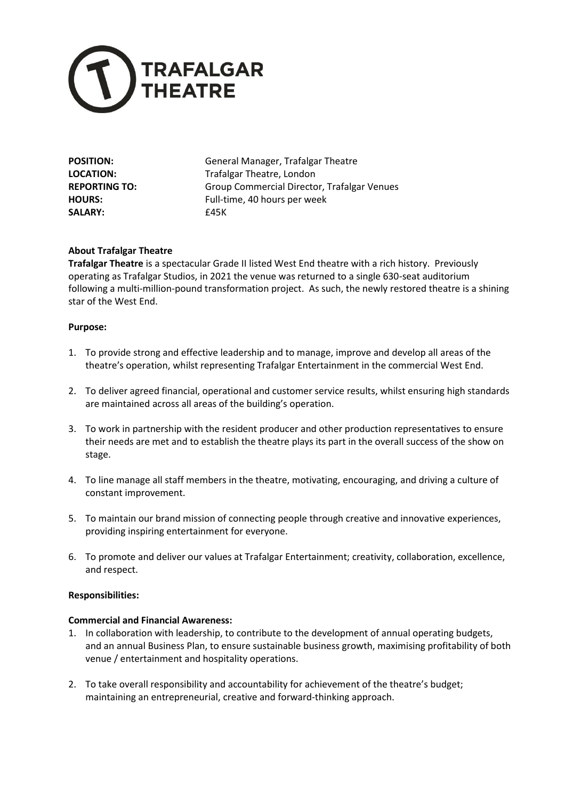

SALARY: **E45K** 

**POSITION:** General Manager, Trafalgar Theatre **LOCATION:** Trafalgar Theatre, London REPORTING TO: Group Commercial Director, Trafalgar Venues **HOURS:** Full-time, 40 hours per week

# **About Trafalgar Theatre**

**Trafalgar Theatre** is a spectacular Grade II listed West End theatre with a rich history. Previously operating as Trafalgar Studios, in 2021 the venue was returned to a single 630-seat auditorium following a multi-million-pound transformation project. As such, the newly restored theatre is a shining star of the West End.

## **Purpose:**

- 1. To provide strong and effective leadership and to manage, improve and develop all areas of the theatre's operation, whilst representing Trafalgar Entertainment in the commercial West End.
- 2. To deliver agreed financial, operational and customer service results, whilst ensuring high standards are maintained across all areas of the building's operation.
- 3. To work in partnership with the resident producer and other production representatives to ensure their needs are met and to establish the theatre plays its part in the overall success of the show on stage.
- 4. To line manage all staff members in the theatre, motivating, encouraging, and driving a culture of constant improvement.
- 5. To maintain our brand mission of connecting people through creative and innovative experiences, providing inspiring entertainment for everyone.
- 6. To promote and deliver our values at Trafalgar Entertainment; creativity, collaboration, excellence, and respect.

### **Responsibilities:**

### **Commercial and Financial Awareness:**

- 1. In collaboration with leadership, to contribute to the development of annual operating budgets, and an annual Business Plan, to ensure sustainable business growth, maximising profitability of both venue / entertainment and hospitality operations.
- 2. To take overall responsibility and accountability for achievement of the theatre's budget; maintaining an entrepreneurial, creative and forward-thinking approach.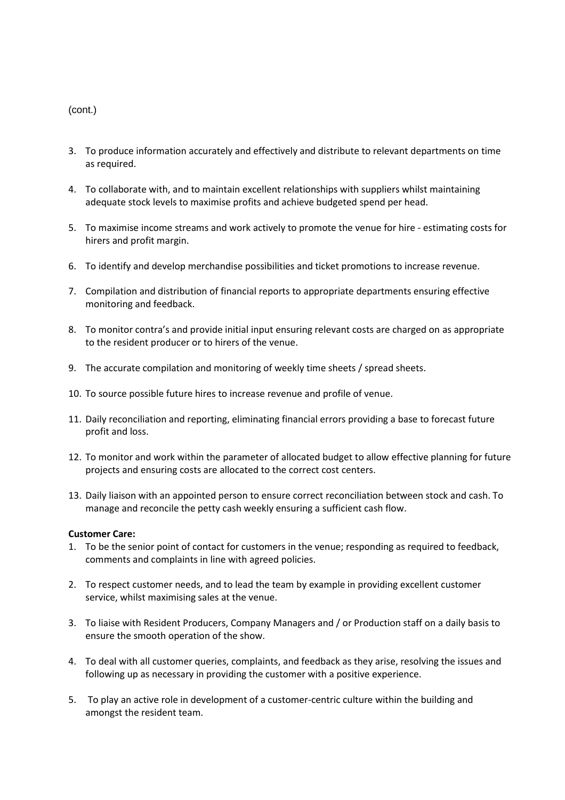- 3. To produce information accurately and effectively and distribute to relevant departments on time as required.
- 4. To collaborate with, and to maintain excellent relationships with suppliers whilst maintaining adequate stock levels to maximise profits and achieve budgeted spend per head.
- 5. To maximise income streams and work actively to promote the venue for hire estimating costs for hirers and profit margin.
- 6. To identify and develop merchandise possibilities and ticket promotions to increase revenue.
- 7. Compilation and distribution of financial reports to appropriate departments ensuring effective monitoring and feedback.
- 8. To monitor contra's and provide initial input ensuring relevant costs are charged on as appropriate to the resident producer or to hirers of the venue.
- 9. The accurate compilation and monitoring of weekly time sheets / spread sheets.
- 10. To source possible future hires to increase revenue and profile of venue.
- 11. Daily reconciliation and reporting, eliminating financial errors providing a base to forecast future profit and loss.
- 12. To monitor and work within the parameter of allocated budget to allow effective planning for future projects and ensuring costs are allocated to the correct cost centers.
- 13. Daily liaison with an appointed person to ensure correct reconciliation between stock and cash. To manage and reconcile the petty cash weekly ensuring a sufficient cash flow.

### **Customer Care:**

- 1. To be the senior point of contact for customers in the venue; responding as required to feedback, comments and complaints in line with agreed policies.
- 2. To respect customer needs, and to lead the team by example in providing excellent customer service, whilst maximising sales at the venue.
- 3. To liaise with Resident Producers, Company Managers and / or Production staff on a daily basis to ensure the smooth operation of the show.
- 4. To deal with all customer queries, complaints, and feedback as they arise, resolving the issues and following up as necessary in providing the customer with a positive experience.
- 5. To play an active role in development of a customer-centric culture within the building and amongst the resident team.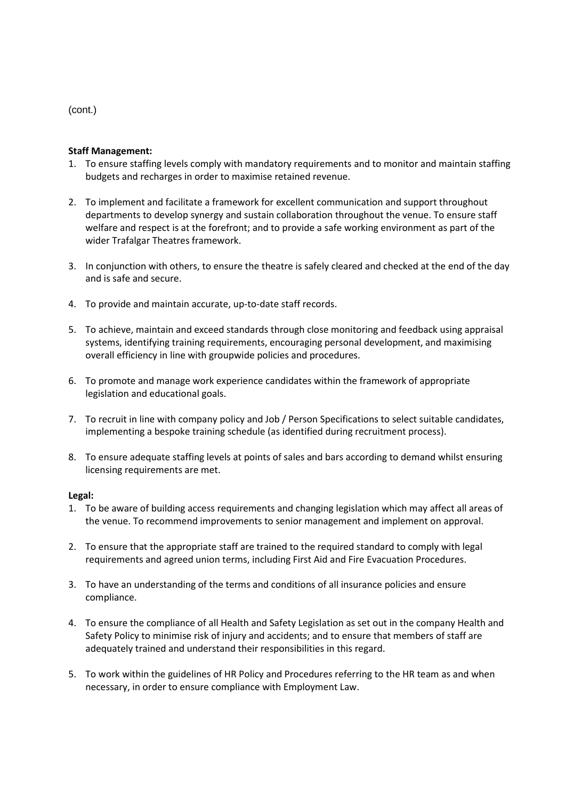## **Staff Management:**

- 1. To ensure staffing levels comply with mandatory requirements and to monitor and maintain staffing budgets and recharges in order to maximise retained revenue.
- 2. To implement and facilitate a framework for excellent communication and support throughout departments to develop synergy and sustain collaboration throughout the venue. To ensure staff welfare and respect is at the forefront; and to provide a safe working environment as part of the wider Trafalgar Theatres framework.
- 3. In conjunction with others, to ensure the theatre is safely cleared and checked at the end of the day and is safe and secure.
- 4. To provide and maintain accurate, up-to-date staff records.
- 5. To achieve, maintain and exceed standards through close monitoring and feedback using appraisal systems, identifying training requirements, encouraging personal development, and maximising overall efficiency in line with groupwide policies and procedures.
- 6. To promote and manage work experience candidates within the framework of appropriate legislation and educational goals.
- 7. To recruit in line with company policy and Job / Person Specifications to select suitable candidates, implementing a bespoke training schedule (as identified during recruitment process).
- 8. To ensure adequate staffing levels at points of sales and bars according to demand whilst ensuring licensing requirements are met.

### **Legal:**

- 1. To be aware of building access requirements and changing legislation which may affect all areas of the venue. To recommend improvements to senior management and implement on approval.
- 2. To ensure that the appropriate staff are trained to the required standard to comply with legal requirements and agreed union terms, including First Aid and Fire Evacuation Procedures.
- 3. To have an understanding of the terms and conditions of all insurance policies and ensure compliance.
- 4. To ensure the compliance of all Health and Safety Legislation as set out in the company Health and Safety Policy to minimise risk of injury and accidents; and to ensure that members of staff are adequately trained and understand their responsibilities in this regard.
- 5. To work within the guidelines of HR Policy and Procedures referring to the HR team as and when necessary, in order to ensure compliance with Employment Law.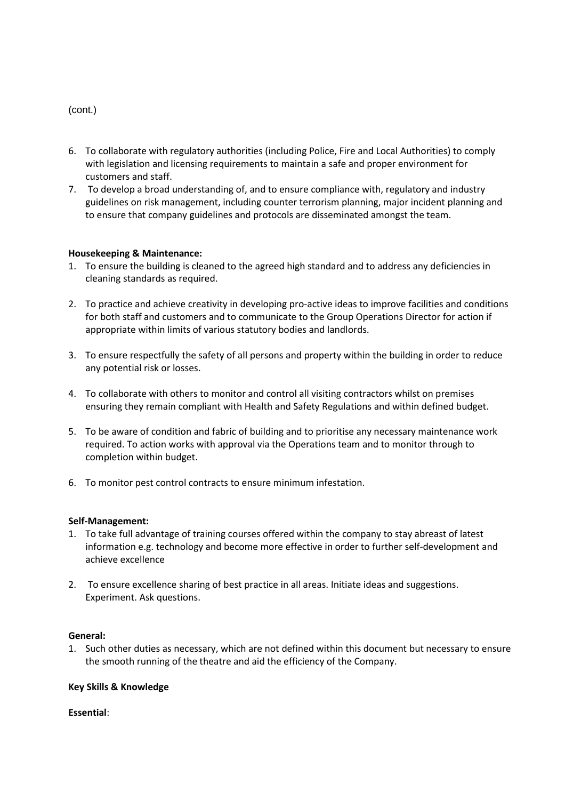- 6. To collaborate with regulatory authorities (including Police, Fire and Local Authorities) to comply with legislation and licensing requirements to maintain a safe and proper environment for customers and staff.
- 7. To develop a broad understanding of, and to ensure compliance with, regulatory and industry guidelines on risk management, including counter terrorism planning, major incident planning and to ensure that company guidelines and protocols are disseminated amongst the team.

## **Housekeeping & Maintenance:**

- 1. To ensure the building is cleaned to the agreed high standard and to address any deficiencies in cleaning standards as required.
- 2. To practice and achieve creativity in developing pro-active ideas to improve facilities and conditions for both staff and customers and to communicate to the Group Operations Director for action if appropriate within limits of various statutory bodies and landlords.
- 3. To ensure respectfully the safety of all persons and property within the building in order to reduce any potential risk or losses.
- 4. To collaborate with others to monitor and control all visiting contractors whilst on premises ensuring they remain compliant with Health and Safety Regulations and within defined budget.
- 5. To be aware of condition and fabric of building and to prioritise any necessary maintenance work required. To action works with approval via the Operations team and to monitor through to completion within budget.
- 6. To monitor pest control contracts to ensure minimum infestation.

### **Self-Management:**

- 1. To take full advantage of training courses offered within the company to stay abreast of latest information e.g. technology and become more effective in order to further self-development and achieve excellence
- 2. To ensure excellence sharing of best practice in all areas. Initiate ideas and suggestions. Experiment. Ask questions.

### **General:**

1. Such other duties as necessary, which are not defined within this document but necessary to ensure the smooth running of the theatre and aid the efficiency of the Company.

### **Key Skills & Knowledge**

**Essential**: